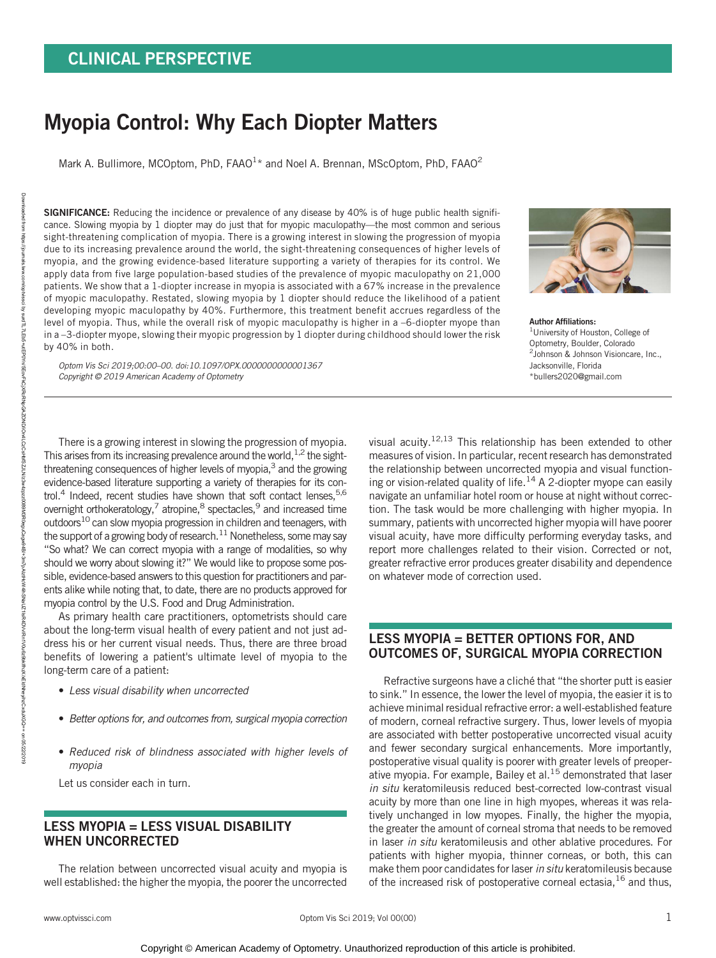# Myopia Control: Why Each Diopter Matters

Mark A. Bullimore, MCOptom, PhD, FAAO<sup>1\*</sup> and Noel A. Brennan, MScOptom, PhD, FAAO<sup>2</sup>

SIGNIFICANCE: Reducing the incidence or prevalence of any disease by 40% is of huge public health significance. Slowing myopia by 1 diopter may do just that for myopic maculopathy—the most common and serious sight-threatening complication of myopia. There is a growing interest in slowing the progression of myopia due to its increasing prevalence around the world, the sight-threatening consequences of higher levels of myopia, and the growing evidence-based literature supporting a variety of therapies for its control. We apply data from five large population-based studies of the prevalence of myopic maculopathy on 21,000 patients. We show that a 1-diopter increase in myopia is associated with a 67% increase in the prevalence of myopic maculopathy. Restated, slowing myopia by 1 diopter should reduce the likelihood of a patient developing myopic maculopathy by 40%. Furthermore, this treatment benefit accrues regardless of the level of myopia. Thus, while the overall risk of myopic maculopathy is higher in a –6-diopter myope than in a –3-diopter myope, slowing their myopic progression by 1 diopter during childhood should lower the risk by 40% in both.

Optom Vis Sci 2019;00:00–00. doi:10.1097/OPX.0000000000001367 Copyright © 2019 American Academy of Optometry



Author Affiliations: <sup>1</sup>University of Houston, College of Optometry, Boulder, Colorado <sup>2</sup>Johnson & Johnson Visioncare, Inc., Jacksonville, Florida \*bullers2020@gmail.com

There is a growing interest in slowing the progression of myopia. This arises from its increasing prevalence around the world, $1,2$  the sightthreatening consequences of higher levels of myopia, $3$  and the growing evidence-based literature supporting a variety of therapies for its control.<sup>4</sup> Indeed, recent studies have shown that soft contact lenses,  $5,6$ overnight orthokeratology, $7$  atropine, $8$  spectacles, $9$  and increased time outdoors<sup>10</sup> can slow myopia progression in children and teenagers, with the support of a growing body of research. $^{11}$  Nonetheless, some may say "So what? We can correct myopia with a range of modalities, so why should we worry about slowing it?" We would like to propose some possible, evidence-based answers to this question for practitioners and parents alike while noting that, to date, there are no products approved for myopia control by the U.S. Food and Drug Administration.

As primary health care practitioners, optometrists should care about the long-term visual health of every patient and not just address his or her current visual needs. Thus, there are three broad benefits of lowering a patient's ultimate level of myopia to the long-term care of a patient:

- Less visual disability when uncorrected
- Better options for, and outcomes from, surgical myopia correction
- Reduced risk of blindness associated with higher levels of myopia

Let us consider each in turn.

#### LESS MYOPIA = LESS VISUAL DISABILITY WHEN UNCORRECTED

The relation between uncorrected visual acuity and myopia is well established: the higher the myopia, the poorer the uncorrected visual acuity.<sup>12,13</sup> This relationship has been extended to other measures of vision. In particular, recent research has demonstrated the relationship between uncorrected myopia and visual functioning or vision-related quality of life.<sup>14</sup> A 2-diopter myope can easily navigate an unfamiliar hotel room or house at night without correction. The task would be more challenging with higher myopia. In summary, patients with uncorrected higher myopia will have poorer visual acuity, have more difficulty performing everyday tasks, and report more challenges related to their vision. Corrected or not, greater refractive error produces greater disability and dependence on whatever mode of correction used.

### LESS MYOPIA = BETTER OPTIONS FOR, AND OUTCOMES OF, SURGICAL MYOPIA CORRECTION

Refractive surgeons have a cliché that "the shorter putt is easier to sink." In essence, the lower the level of myopia, the easier it is to achieve minimal residual refractive error: a well-established feature of modern, corneal refractive surgery. Thus, lower levels of myopia are associated with better postoperative uncorrected visual acuity and fewer secondary surgical enhancements. More importantly, postoperative visual quality is poorer with greater levels of preoperative myopia. For example, Bailey et al.<sup>15</sup> demonstrated that laser in situ keratomileusis reduced best-corrected low-contrast visual acuity by more than one line in high myopes, whereas it was relatively unchanged in low myopes. Finally, the higher the myopia, the greater the amount of corneal stroma that needs to be removed in laser in situ keratomileusis and other ablative procedures. For patients with higher myopia, thinner corneas, or both, this can make them poor candidates for laser in situ keratomileusis because of the increased risk of postoperative corneal ectasia,  $^{16}$  and thus,

05/22/2019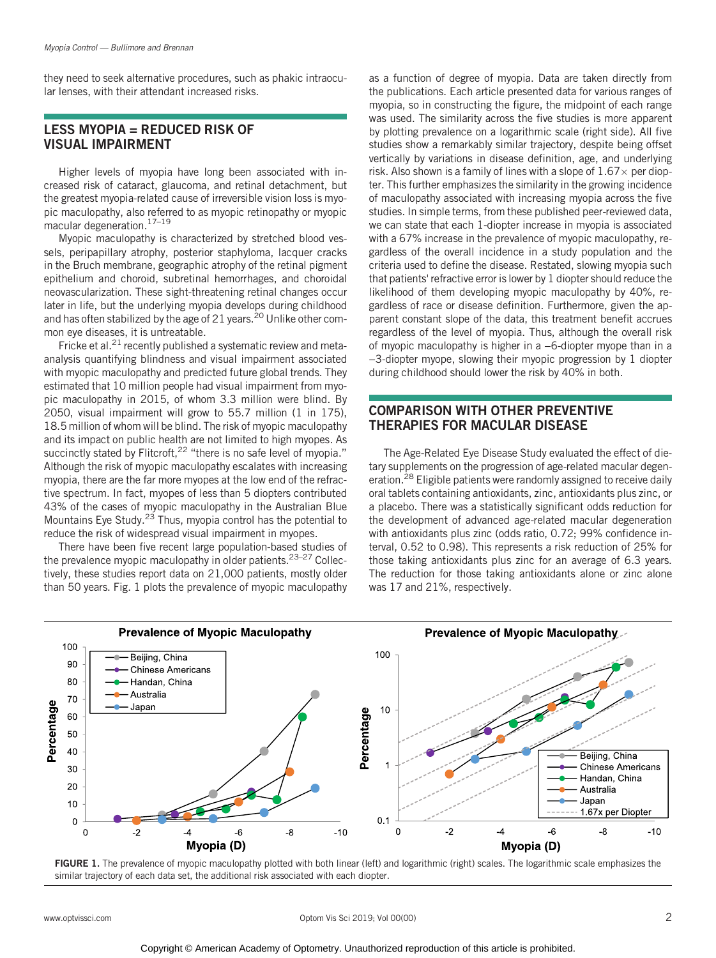they need to seek alternative procedures, such as phakic intraocular lenses, with their attendant increased risks.

### LESS MYOPIA = REDUCED RISK OF VISUAL IMPAIRMENT

Higher levels of myopia have long been associated with increased risk of cataract, glaucoma, and retinal detachment, but the greatest myopia-related cause of irreversible vision loss is myopic maculopathy, also referred to as myopic retinopathy or myopic macular degeneration.17–<sup>19</sup>

Myopic maculopathy is characterized by stretched blood vessels, peripapillary atrophy, posterior staphyloma, lacquer cracks in the Bruch membrane, geographic atrophy of the retinal pigment epithelium and choroid, subretinal hemorrhages, and choroidal neovascularization. These sight-threatening retinal changes occur later in life, but the underlying myopia develops during childhood and has often stabilized by the age of 21 years.<sup>20</sup> Unlike other common eye diseases, it is untreatable.

Fricke et al.<sup>21</sup> recently published a systematic review and metaanalysis quantifying blindness and visual impairment associated with myopic maculopathy and predicted future global trends. They estimated that 10 million people had visual impairment from myopic maculopathy in 2015, of whom 3.3 million were blind. By 2050, visual impairment will grow to 55.7 million (1 in 175), 18.5 million of whom will be blind. The risk of myopic maculopathy and its impact on public health are not limited to high myopes. As succinctly stated by Flitcroft,<sup>22</sup> "there is no safe level of myopia." Although the risk of myopic maculopathy escalates with increasing myopia, there are the far more myopes at the low end of the refractive spectrum. In fact, myopes of less than 5 diopters contributed 43% of the cases of myopic maculopathy in the Australian Blue Mountains Eye Study.<sup>23</sup> Thus, myopia control has the potential to reduce the risk of widespread visual impairment in myopes.

There have been five recent large population-based studies of the prevalence myopic maculopathy in older patients.<sup>23-27</sup> Collectively, these studies report data on 21,000 patients, mostly older than 50 years. Fig. 1 plots the prevalence of myopic maculopathy as a function of degree of myopia. Data are taken directly from the publications. Each article presented data for various ranges of myopia, so in constructing the figure, the midpoint of each range was used. The similarity across the five studies is more apparent by plotting prevalence on a logarithmic scale (right side). All five studies show a remarkably similar trajectory, despite being offset vertically by variations in disease definition, age, and underlying risk. Also shown is a family of lines with a slope of  $1.67\times$  per diopter. This further emphasizes the similarity in the growing incidence of maculopathy associated with increasing myopia across the five studies. In simple terms, from these published peer-reviewed data, we can state that each 1-diopter increase in myopia is associated with a 67% increase in the prevalence of myopic maculopathy, regardless of the overall incidence in a study population and the criteria used to define the disease. Restated, slowing myopia such that patients' refractive error is lower by 1 diopter should reduce the likelihood of them developing myopic maculopathy by 40%, regardless of race or disease definition. Furthermore, given the apparent constant slope of the data, this treatment benefit accrues regardless of the level of myopia. Thus, although the overall risk of myopic maculopathy is higher in a −6-diopter myope than in a −3-diopter myope, slowing their myopic progression by 1 diopter during childhood should lower the risk by 40% in both.

## COMPARISON WITH OTHER PREVENTIVE THERAPIES FOR MACULAR DISEASE

The Age-Related Eye Disease Study evaluated the effect of dietary supplements on the progression of age-related macular degeneration.<sup>28</sup> Eligible patients were randomly assigned to receive daily oral tablets containing antioxidants, zinc, antioxidants plus zinc, or a placebo. There was a statistically significant odds reduction for the development of advanced age-related macular degeneration with antioxidants plus zinc (odds ratio, 0.72; 99% confidence interval, 0.52 to 0.98). This represents a risk reduction of 25% for those taking antioxidants plus zinc for an average of 6.3 years. The reduction for those taking antioxidants alone or zinc alone was 17 and 21%, respectively.



FIGURE 1. The prevalence of myopic maculopathy plotted with both linear (left) and logarithmic (right) scales. The logarithmic scale emphasizes the similar trajectory of each data set, the additional risk associated with each diopter.